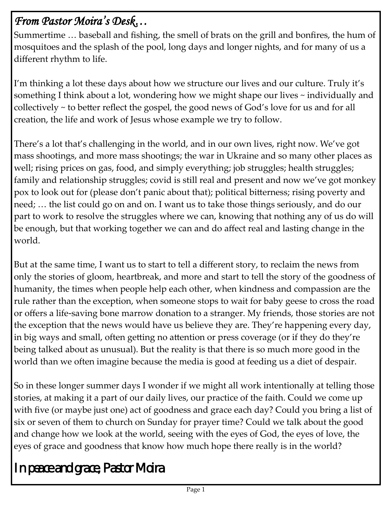## *From Pastor Moira's Desk…*

Summertime … baseball and fishing, the smell of brats on the grill and bonfires, the hum of mosquitoes and the splash of the pool, long days and longer nights, and for many of us a different rhythm to life.

I'm thinking a lot these days about how we structure our lives and our culture. Truly it's something I think about a lot, wondering how we might shape our lives ~ individually and collectively ~ to better reflect the gospel, the good news of God's love for us and for all creation, the life and work of Jesus whose example we try to follow.

There's a lot that's challenging in the world, and in our own lives, right now. We've got mass shootings, and more mass shootings; the war in Ukraine and so many other places as well; rising prices on gas, food, and simply everything; job struggles; health struggles; family and relationship struggles; covid is still real and present and now we've got monkey pox to look out for (please don't panic about that); political bitterness; rising poverty and need; … the list could go on and on. I want us to take those things seriously, and do our part to work to resolve the struggles where we can, knowing that nothing any of us do will be enough, but that working together we can and do affect real and lasting change in the world.

But at the same time, I want us to start to tell a different story, to reclaim the news from only the stories of gloom, heartbreak, and more and start to tell the story of the goodness of humanity, the times when people help each other, when kindness and compassion are the rule rather than the exception, when someone stops to wait for baby geese to cross the road or offers a life-saving bone marrow donation to a stranger. My friends, those stories are not the exception that the news would have us believe they are. They're happening every day, in big ways and small, often getting no attention or press coverage (or if they do they're being talked about as unusual). But the reality is that there is so much more good in the world than we often imagine because the media is good at feeding us a diet of despair.

So in these longer summer days I wonder if we might all work intentionally at telling those stories, at making it a part of our daily lives, our practice of the faith. Could we come up with five (or maybe just one) act of goodness and grace each day? Could you bring a list of six or seven of them to church on Sunday for prayer time? Could we talk about the good and change how we look at the world, seeing with the eyes of God, the eyes of love, the eyes of grace and goodness that know how much hope there really is in the world?

*In peace and grace, Pastor Moira*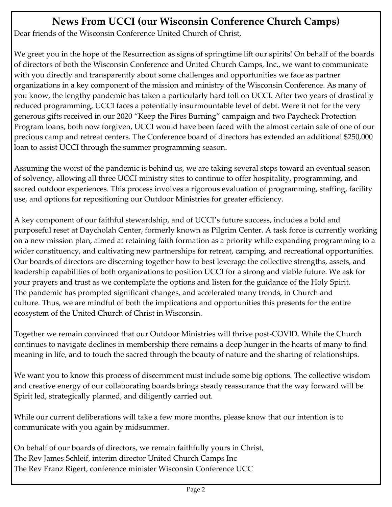### **News From UCCI (our Wisconsin Conference Church Camps)**

Dear friends of the Wisconsin Conference United Church of Christ,

We greet you in the hope of the Resurrection as signs of springtime lift our spirits! On behalf of the boards of directors of both the Wisconsin Conference and United Church Camps, Inc., we want to communicate with you directly and transparently about some challenges and opportunities we face as partner organizations in a key component of the mission and ministry of the Wisconsin Conference. As many of you know, the lengthy pandemic has taken a particularly hard toll on UCCI. After two years of drastically reduced programming, UCCI faces a potentially insurmountable level of debt. Were it not for the very generous gifts received in our 2020 "Keep the Fires Burning" campaign and two Paycheck Protection Program loans, both now forgiven, UCCI would have been faced with the almost certain sale of one of our precious camp and retreat centers. The Conference board of directors has extended an additional \$250,000 loan to assist UCCI through the summer programming season.

Assuming the worst of the pandemic is behind us, we are taking several steps toward an eventual season of solvency, allowing all three UCCI ministry sites to continue to offer hospitality, programming, and sacred outdoor experiences. This process involves a rigorous evaluation of programming, staffing, facility use, and options for repositioning our Outdoor Ministries for greater efficiency.

A key component of our faithful stewardship, and of UCCI's future success, includes a bold and purposeful reset at Daycholah Center, formerly known as Pilgrim Center. A task force is currently working on a new mission plan, aimed at retaining faith formation as a priority while expanding programming to a wider constituency, and cultivating new partnerships for retreat, camping, and recreational opportunities. Our boards of directors are discerning together how to best leverage the collective strengths, assets, and leadership capabilities of both organizations to position UCCI for a strong and viable future. We ask for your prayers and trust as we contemplate the options and listen for the guidance of the Holy Spirit. The pandemic has prompted significant changes, and accelerated many trends, in Church and culture. Thus, we are mindful of both the implications and opportunities this presents for the entire ecosystem of the United Church of Christ in Wisconsin.

Together we remain convinced that our Outdoor Ministries will thrive post-COVID. While the Church continues to navigate declines in membership there remains a deep hunger in the hearts of many to find meaning in life, and to touch the sacred through the beauty of nature and the sharing of relationships.

We want you to know this process of discernment must include some big options. The collective wisdom and creative energy of our collaborating boards brings steady reassurance that the way forward will be Spirit led, strategically planned, and diligently carried out.

While our current deliberations will take a few more months, please know that our intention is to communicate with you again by midsummer.

On behalf of our boards of directors, we remain faithfully yours in Christ, The Rev James Schleif, interim director United Church Camps Inc The Rev Franz Rigert, conference minister Wisconsin Conference UCC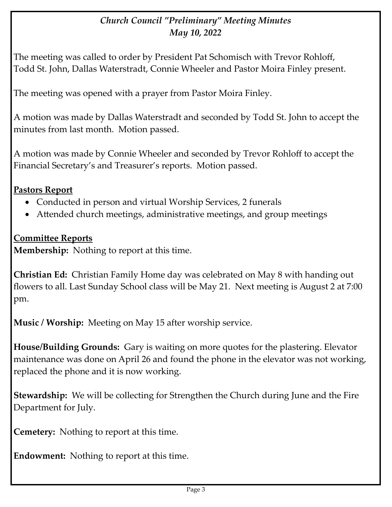#### *Church Council "Preliminary" Meeting Minutes May 10, 2022*

The meeting was called to order by President Pat Schomisch with Trevor Rohloff, Todd St. John, Dallas Waterstradt, Connie Wheeler and Pastor Moira Finley present.

The meeting was opened with a prayer from Pastor Moira Finley.

A motion was made by Dallas Waterstradt and seconded by Todd St. John to accept the minutes from last month. Motion passed.

A motion was made by Connie Wheeler and seconded by Trevor Rohloff to accept the Financial Secretary's and Treasurer's reports. Motion passed.

#### **Pastors Report**

- Conducted in person and virtual Worship Services, 2 funerals
- Attended church meetings, administrative meetings, and group meetings

#### **Committee Reports**

**Membership:** Nothing to report at this time.

**Christian Ed:** Christian Family Home day was celebrated on May 8 with handing out flowers to all. Last Sunday School class will be May 21. Next meeting is August 2 at 7:00 pm.

**Music / Worship:** Meeting on May 15 after worship service.

**House/Building Grounds:** Gary is waiting on more quotes for the plastering. Elevator maintenance was done on April 26 and found the phone in the elevator was not working, replaced the phone and it is now working.

**Stewardship:** We will be collecting for Strengthen the Church during June and the Fire Department for July.

**Cemetery:** Nothing to report at this time.

**Endowment:** Nothing to report at this time.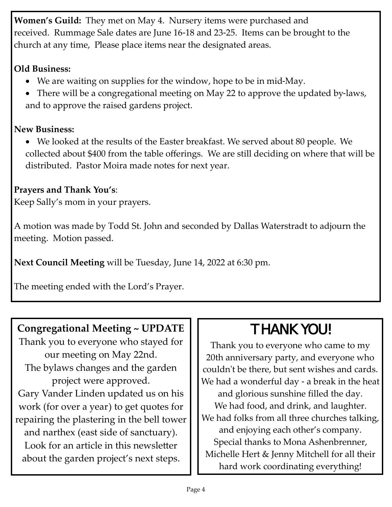**Women's Guild:** They met on May 4. Nursery items were purchased and received. Rummage Sale dates are June 16-18 and 23-25. Items can be brought to the church at any time, Please place items near the designated areas.

#### **Old Business:**

- We are waiting on supplies for the window, hope to be in mid-May.
- There will be a congregational meeting on May 22 to approve the updated by-laws, and to approve the raised gardens project.

#### **New Business:**

• We looked at the results of the Easter breakfast. We served about 80 people. We collected about \$400 from the table offerings. We are still deciding on where that will be distributed. Pastor Moira made notes for next year.

#### **Prayers and Thank You's**:

Keep Sally's mom in your prayers.

A motion was made by Todd St. John and seconded by Dallas Waterstradt to adjourn the meeting. Motion passed.

**Next Council Meeting** will be Tuesday, June 14, 2022 at 6:30 pm.

The meeting ended with the Lord's Prayer.

### **Congregational Meeting ~ UPDATE**

Thank you to everyone who stayed for our meeting on May 22nd. The bylaws changes and the garden project were approved. Gary Vander Linden updated us on his work (for over a year) to get quotes for repairing the plastering in the bell tower and narthex (east side of sanctuary). Look for an article in this newsletter about the garden project's next steps.

# THANK YOU!

Thank you to everyone who came to my 20th anniversary party, and everyone who couldn't be there, but sent wishes and cards. We had a wonderful day - a break in the heat and glorious sunshine filled the day. We had food, and drink, and laughter. We had folks from all three churches talking, and enjoying each other's company. Special thanks to Mona Ashenbrenner, Michelle Hert & Jenny Mitchell for all their hard work coordinating everything!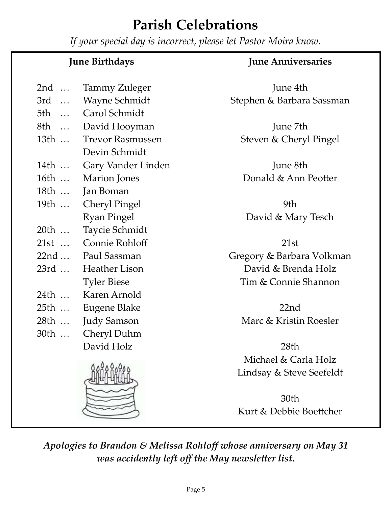# **Parish Celebrations**

*If your special day is incorrect, please let Pastor Moira know.*

|      | <b>June Birthdays</b>   | <b>June Anniversaries</b> |  |  |  |
|------|-------------------------|---------------------------|--|--|--|
| 2nd  | <b>Tammy Zuleger</b>    | June 4th                  |  |  |  |
|      | 3rd  Wayne Schmidt      | Stephen & Barbara Sassman |  |  |  |
|      | 5th  Carol Schmidt      |                           |  |  |  |
|      | 8th  David Hooyman      | June 7th                  |  |  |  |
| 13th | <b>Trevor Rasmussen</b> | Steven & Cheryl Pingel    |  |  |  |
|      | Devin Schmidt           |                           |  |  |  |
| 14th | Gary Vander Linden      | June 8th                  |  |  |  |
| 16th | <b>Marion</b> Jones     | Donald & Ann Peotter      |  |  |  |
| 18th | Jan Boman               |                           |  |  |  |
| 19th | <b>Cheryl Pingel</b>    | 9th                       |  |  |  |
|      | <b>Ryan Pingel</b>      | David & Mary Tesch        |  |  |  |
| 20th | Taycie Schmidt          |                           |  |  |  |
|      | 21st  Connie Rohloff    | 21st                      |  |  |  |
|      | 22nd  Paul Sassman      | Gregory & Barbara Volkman |  |  |  |
| 23rd | <b>Heather Lison</b>    | David & Brenda Holz       |  |  |  |
|      | <b>Tyler Biese</b>      | Tim & Connie Shannon      |  |  |  |
| 24th | Karen Arnold            |                           |  |  |  |
|      | 25th  Eugene Blake      | 22nd                      |  |  |  |
| 28th | <b>Judy Samson</b>      | Marc & Kristin Roesler    |  |  |  |
| 30th | Cheryl Duhm             |                           |  |  |  |
|      | David Holz              | 28th                      |  |  |  |
|      |                         | Michael & Carla Holz      |  |  |  |
|      |                         | Lindsay & Steve Seefeldt  |  |  |  |
|      |                         |                           |  |  |  |
|      |                         | 30th                      |  |  |  |
|      |                         | Kurt & Debbie Boettcher   |  |  |  |

*Apologies to Brandon & Melissa Rohloff whose anniversary on May 31 was accidently left off the May newsletter list.*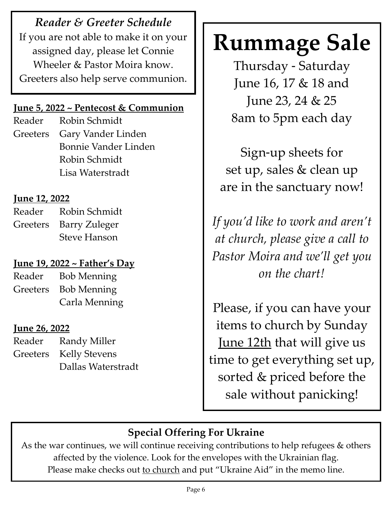*Reader & Greeter Schedule*  If you are not able to make it on your assigned day, please let Connie Wheeler & Pastor Moira know. Greeters also help serve communion.

#### **June 5, 2022 ~ Pentecost & Communion**

Reader Robin Schmidt Greeters Gary Vander Linden Bonnie Vander Linden Robin Schmidt Lisa Waterstradt

#### **June 12, 2022**

Reader Robin Schmidt Greeters Barry Zuleger Steve Hanson

#### **June 19, 2022 ~ Father's Day**

Reader Bob Menning Greeters Bob Menning Carla Menning

#### **June 26, 2022**

Reader Randy Miller Greeters Kelly Stevens Dallas Waterstradt

# **Rummage Sale**

Thursday - Saturday June 16, 17 & 18 and June 23, 24 & 25 8am to 5pm each day

Sign-up sheets for set up, sales & clean up are in the sanctuary now!

*If you'd like to work and aren't at church, please give a call to Pastor Moira and we'll get you on the chart!*

Please, if you can have your items to church by Sunday June 12th that will give us time to get everything set up, sorted & priced before the sale without panicking!

# **Special Offering For Ukraine**

As the war continues, we will continue receiving contributions to help refugees & others affected by the violence. Look for the envelopes with the Ukrainian flag. Please make checks out to church and put "Ukraine Aid" in the memo line.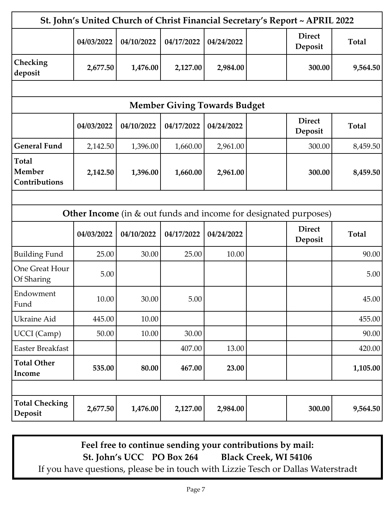| St. John's United Church of Christ Financial Secretary's Report ~ APRIL 2022 |            |            |            |            |  |                          |              |  |  |  |
|------------------------------------------------------------------------------|------------|------------|------------|------------|--|--------------------------|--------------|--|--|--|
|                                                                              | 04/03/2022 | 04/10/2022 | 04/17/2022 | 04/24/2022 |  | <b>Direct</b><br>Deposit | <b>Total</b> |  |  |  |
| Checking<br>deposit                                                          | 2,677.50   | 1,476.00   | 2,127.00   | 2,984.00   |  | 300.00                   | 9,564.50     |  |  |  |
|                                                                              |            |            |            |            |  |                          |              |  |  |  |
| <b>Member Giving Towards Budget</b>                                          |            |            |            |            |  |                          |              |  |  |  |
|                                                                              | 04/03/2022 | 04/10/2022 | 04/17/2022 | 04/24/2022 |  | <b>Direct</b><br>Deposit | <b>Total</b> |  |  |  |
| <b>General Fund</b>                                                          | 2,142.50   | 1,396.00   | 1,660.00   | 2,961.00   |  | 300.00                   | 8,459.50     |  |  |  |
| Total<br><b>Member</b><br>Contributions                                      | 2,142.50   | 1,396.00   | 1,660.00   | 2,961.00   |  | 300.00                   | 8,459.50     |  |  |  |
|                                                                              |            |            |            |            |  |                          |              |  |  |  |
| Other Income (in & out funds and income for designated purposes)             |            |            |            |            |  |                          |              |  |  |  |
|                                                                              | 04/03/2022 | 04/10/2022 | 04/17/2022 | 04/24/2022 |  | <b>Direct</b><br>Deposit | <b>Total</b> |  |  |  |
| <b>Building Fund</b>                                                         | 25.00      | 30.00      | 25.00      | 10.00      |  |                          | 90.00        |  |  |  |
| <b>One Great Hour</b><br>Of Sharing                                          | 5.00       |            |            |            |  |                          | 5.00         |  |  |  |
| Endowment<br>Fund                                                            | 10.00      | 30.00      | 5.00       |            |  |                          | 45.00        |  |  |  |
| Ukraine Aid                                                                  | 445.00     | 10.00      |            |            |  |                          | 455.00       |  |  |  |
| <b>UCCI</b> (Camp)                                                           | 50.00      | 10.00      | 30.00      |            |  |                          | 90.00        |  |  |  |
| <b>Easter Breakfast</b>                                                      |            |            | 407.00     | 13.00      |  |                          | 420.00       |  |  |  |
| <b>Total Other</b><br>Income                                                 | 535.00     | 80.00      | 467.00     | 23.00      |  |                          | 1,105.00     |  |  |  |
|                                                                              |            |            |            |            |  |                          |              |  |  |  |
| <b>Total Checking</b><br>Deposit                                             | 2,677.50   | 1,476.00   | 2,127.00   | 2,984.00   |  | 300.00                   | 9,564.50     |  |  |  |

**Feel free to continue sending your contributions by mail: St. John's UCC PO Box 264 Black Creek, WI 54106** If you have questions, please be in touch with Lizzie Tesch or Dallas Waterstradt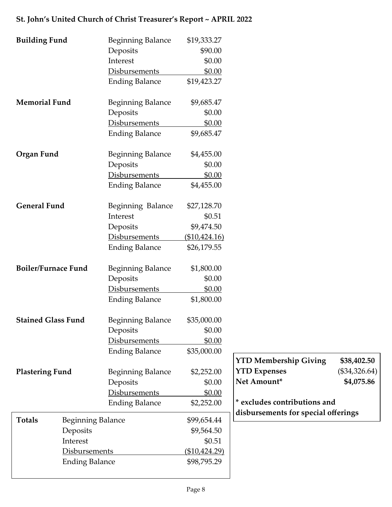#### **Building Fund Beginning Balance** \$19,333.27 Deposits \$90.00 Interest \$0.00 Disbursements \$0.00 Ending Balance \$19,423.27 **Memorial Fund** Beginning Balance \$9,685.47 Deposits \$0.00 Disbursements \$0.00 Ending Balance \$9,685.47 **Organ Fund** Beginning Balance \$4,455.00 Deposits \$0.00 Disbursements \$0.00 Ending Balance \$4,455.00 General Fund<br>Beginning Balance \$27,128.70 Interest \$0.51 Deposits \$9,474.50 Disbursements (\$10,424.16) Ending Balance \$26,179.55 **Boiler/Furnace Fund** Beginning Balance \$1,800.00 Deposits \$0.00 Disbursements \$0.00 Ending Balance \$1,800.00 **Stained Glass Fund** Beginning Balance \$35,000.00 Deposits \$0.00 Disbursements \$0.00 Ending Balance \$35,000.00 **Plastering Fund** Beginning Balance \$2,252.00 Deposits \$0.00 Disbursements \$0.00 Ending Balance \$2,252.00 Totals Beginning Balance \$99,654.44 **YTD Membership Giving \$38,402.50 YTD Expenses** (\$34,326.64) **Net Amount\* \$4,075.86 \* excludes contributions and disbursements for special offerings**

#### **St. John's United Church of Christ Treasurer's Report ~ APRIL 2022**

Deposits  $\text{\$9,564.50}$ Interest \$0.51 Disbursements (\$10,424.29) Ending Balance \$98,795.29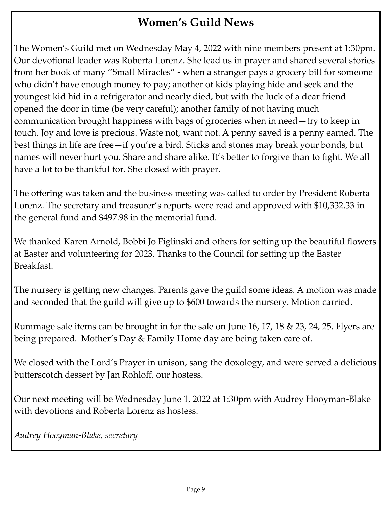## **Women's Guild News**

The Women's Guild met on Wednesday May 4, 2022 with nine members present at 1:30pm. Our devotional leader was Roberta Lorenz. She lead us in prayer and shared several stories from her book of many "Small Miracles" - when a stranger pays a grocery bill for someone who didn't have enough money to pay; another of kids playing hide and seek and the youngest kid hid in a refrigerator and nearly died, but with the luck of a dear friend opened the door in time (be very careful); another family of not having much communication brought happiness with bags of groceries when in need—try to keep in touch. Joy and love is precious. Waste not, want not. A penny saved is a penny earned. The best things in life are free—if you're a bird. Sticks and stones may break your bonds, but names will never hurt you. Share and share alike. It's better to forgive than to fight. We all have a lot to be thankful for. She closed with prayer.

The offering was taken and the business meeting was called to order by President Roberta Lorenz. The secretary and treasurer's reports were read and approved with \$10,332.33 in the general fund and \$497.98 in the memorial fund.

We thanked Karen Arnold, Bobbi Jo Figlinski and others for setting up the beautiful flowers at Easter and volunteering for 2023. Thanks to the Council for setting up the Easter Breakfast.

The nursery is getting new changes. Parents gave the guild some ideas. A motion was made and seconded that the guild will give up to \$600 towards the nursery. Motion carried.

Rummage sale items can be brought in for the sale on June 16, 17, 18 & 23, 24, 25. Flyers are being prepared. Mother's Day & Family Home day are being taken care of.

We closed with the Lord's Prayer in unison, sang the doxology, and were served a delicious butterscotch dessert by Jan Rohloff, our hostess.

Our next meeting will be Wednesday June 1, 2022 at 1:30pm with Audrey Hooyman-Blake with devotions and Roberta Lorenz as hostess.

*Audrey Hooyman-Blake, secretary*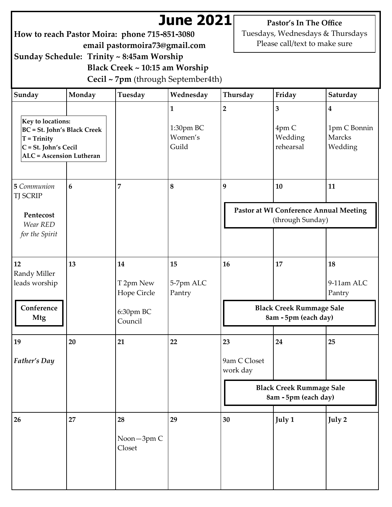# **June 2021**

**How to reach Pastor Moira: phone 715-851-3080 email pastormoira73@gmail.com**

**Pastor's In The Office** Tuesdays, Wednesdays & Thursdays Please call/text to make sure

**Sunday Schedule: Trinity ~ 8:45am Worship Black Creek ~ 10:15 am Worship Cecil ~ 7pm** (through September4th)

| Sunday                                                                                                                              | Monday          | Tuesday                                                | Wednesday                                     | Thursday                       | Friday                                                           | Saturday                                              |
|-------------------------------------------------------------------------------------------------------------------------------------|-----------------|--------------------------------------------------------|-----------------------------------------------|--------------------------------|------------------------------------------------------------------|-------------------------------------------------------|
| Key to locations:<br><b>BC</b> = St. John's Black Creek<br>$T = Trinity$<br>C = St. John's Cecil<br><b>ALC</b> = Ascension Lutheran |                 |                                                        | $\mathbf{1}$<br>1:30pm BC<br>Women's<br>Guild | $\overline{2}$                 | $\overline{\mathbf{3}}$<br>4pm C<br>Wedding<br>rehearsal         | $\boldsymbol{4}$<br>1pm C Bonnin<br>Marcks<br>Wedding |
| 5 Communion<br><b>TJ SCRIP</b><br>Pentecost<br>Wear RED<br>for the Spirit                                                           | $6\phantom{1}6$ | 7                                                      | $\boldsymbol{8}$                              | 9                              | 10<br>Pastor at WI Conference Annual Meeting<br>(through Sunday) | 11                                                    |
| 12<br>Randy Miller<br>leads worship<br>Conference<br><b>Mtg</b>                                                                     | 13              | 14<br>T 2pm New<br>Hope Circle<br>6:30pm BC<br>Council | 15<br>5-7pm ALC<br>Pantry                     | 16                             | 17<br><b>Black Creek Rummage Sale</b><br>8am - 5pm (each day)    | 18<br>9-11am ALC<br>Pantry                            |
| 19<br>Father's Day                                                                                                                  | 20              | 21                                                     | 22                                            | 23<br>9am C Closet<br>work day | 24<br><b>Black Creek Rummage Sale</b><br>8am - 5pm (each day)    | 25                                                    |
| 26                                                                                                                                  | 27              | 28<br>Noon-3pm C<br>Closet                             | 29                                            | 30                             | July 1                                                           | July 2                                                |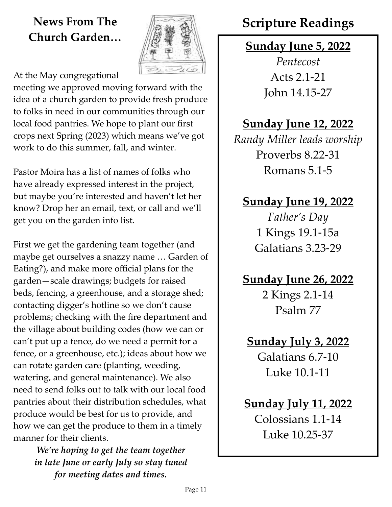# **Church Garden…**



At the May congregational

meeting we approved moving forward with the idea of a church garden to provide fresh produce to folks in need in our communities through our local food pantries. We hope to plant our first crops next Spring (2023) which means we've got work to do this summer, fall, and winter.

Pastor Moira has a list of names of folks who have already expressed interest in the project, but maybe you're interested and haven't let her know? Drop her an email, text, or call and we'll get you on the garden info list.

First we get the gardening team together (and maybe get ourselves a snazzy name … Garden of Eating?), and make more official plans for the garden—scale drawings; budgets for raised beds, fencing, a greenhouse, and a storage shed; contacting digger's hotline so we don't cause problems; checking with the fire department and the village about building codes (how we can or can't put up a fence, do we need a permit for a fence, or a greenhouse, etc.); ideas about how we can rotate garden care (planting, weeding, watering, and general maintenance). We also need to send folks out to talk with our local food pantries about their distribution schedules, what produce would be best for us to provide, and how we can get the produce to them in a timely manner for their clients.

> *We're hoping to get the team together in late June or early July so stay tuned for meeting dates and times.*

# **News From The** *I* **All Scripture Readings**

## **Sunday June 5, 2022**

*Pentecost* Acts 2.1-21 John 14.15-27

## **Sunday June 12, 2022**

*Randy Miller leads worship* Proverbs 8.22-31 Romans 5.1-5

## **Sunday June 19, 2022**

*Father's Day* 1 Kings 19.1-15a Galatians 3.23-29

# **Sunday June 26, 2022**

2 Kings 2.1-14 Psalm 77

# **Sunday July 3, 2022**

Galatians 6.7-10 Luke 10.1-11

## **Sunday July 11, 2022**

Colossians 1.1-14 Luke 10.25-37